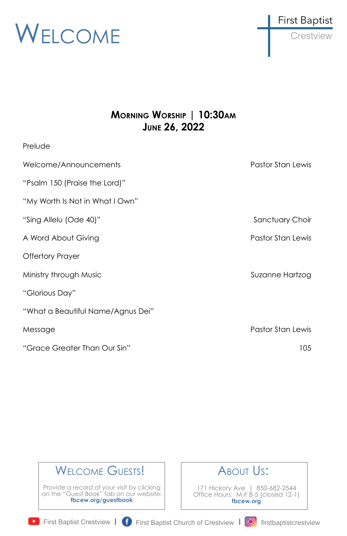



### **MORNING WORSHIP | 10:30AM JUNE 26, 2022**

| Prelude                           |                   |
|-----------------------------------|-------------------|
| Welcome/Announcements             | Pastor Stan Lewis |
| "Psalm 150 (Praise the Lord)"     |                   |
| "My Worth Is Not in What I Own"   |                   |
| "Sing Allelu (Ode 40)"            | Sanctuary Choir   |
| A Word About Giving               | Pastor Stan Lewis |
| <b>Offertory Prayer</b>           |                   |
| Ministry through Music            | Suzanne Hartzog   |
| "Glorious Day"                    |                   |
| "What a Beautiful Name/Agnus Dei" |                   |
| Message                           | Pastor Stan Lewis |
| "Grace Greater Than Our Sin"      | 105               |
|                                   |                   |

## WELCOME GUESTS!

Provide a record of your visit by clicking on the "Guest Book" tab on our website: **fbcew.org/guestbook**



171 Hickory Ave | 850-682-2544 Office Hours: M-F 8-5 (closed 12-1) **fbcew.org**